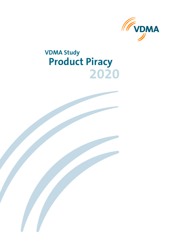

# **2020 VDMA Study Product Piracy**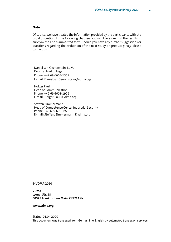#### **Note**

Of course, we have treated the information provided by the participants with the usual discretion. In the following chapters you will therefore find the results in anonymized and summarized form. Should you have any further suggestions or questions regarding the evaluation of the next study on product piracy, please contact us.

Daniel van Geerenstein, LL.M. Deputy Head of Legal Phone: +49 69 6603-1359 E-mail: Daniel.vanGeerenstein@vdma.org

Holger Paul Head of Communication Phone: +49 69 6603-1922 E-mail: Holger. Paul@vdma.org

Steffen Zimmermann Head of Competence Center Industrial Security Phone: +49 69 6603-1978 E-mail: Steffen. Zimmermann@vdma.org

#### **© VDMA 2020**

**VDMA Lyoner Str. 18 60528 Frankfurt am Main, GERMANY**

**www.vdma.org**

Status: 01.04.2020 This document was translated from German into English by automated translation services.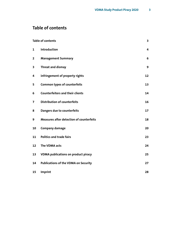## <span id="page-2-0"></span>**Table of contents**

| <b>Table of contents</b> |                                                 | 3  |
|--------------------------|-------------------------------------------------|----|
| 1                        | Introduction                                    | 4  |
| $\overline{\mathbf{2}}$  | <b>Management Summary</b>                       | 6  |
| 3                        | <b>Threat and dismay</b>                        | 9  |
| 4                        | infringement of property rights                 | 12 |
| 5                        | <b>Common types of counterfeits</b>             | 13 |
| 6                        | <b>Counterfeiters and their clients</b>         | 14 |
| $\overline{7}$           | <b>Distribution of counterfeits</b>             | 16 |
| 8                        | Dangers due to counterfeits                     | 17 |
| 9                        | <b>Measures after detection of counterfeits</b> | 18 |
| 10                       | <b>Company damage</b>                           | 20 |
| 11                       | <b>Politics and trade fairs</b>                 | 23 |
| 12                       | The VDMA acts                                   | 24 |
| 13                       | <b>VDMA</b> publications on product piracy      | 25 |
| 14                       | <b>Publications of the VDMA on Security</b>     | 27 |
| 15                       | Imprint                                         | 28 |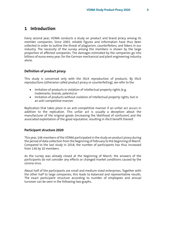## <span id="page-3-0"></span>**1 Introduction**

Every second year, VDMA conducts a study on product and brand piracy among its member companies. Since 2003, reliable figures and information have thus been collected in order to outline the threat of plagiarism, counterfeiters, and fakers in our industry. The necessity of the survey among the members is shown by the large proportion of affected companies. The damages estimated by the companies go into billions of euros every year, for the German mechanical and plant engineering industry alone.

## **Definition of product piracy**

This study is concerned only with the illicit reproduction of products. By illicit reproductions (otherwise called product piracy or counterfeiting), we refer to the

- Imitation of products in violation of intellectual property rights (e.g. trademarks, brands, patents) or
- Imitation of products without violation of intellectual property rights, but in an anti-competitive manner.

Replication that takes place in an anti-competitive manner if an unfair act occurs in addition to the replication. This unfair act is usually a deception about the manufacturer of the original goods (increasing the likelihood of confusion) and the associated exploitation of the good reputation, resulting in illicit benefit thereof.

#### **Participant structure 2020**

This year, 146 members of the VDMA participated in the study on product piracy during the period of data collection from the beginning of February to the beginning of March. Compared to the last study in 2018, the number of participants has thus increased from 136 by 10 members.

As the survey was already closed at the beginning of March, the answers of the participants do not consider any effects or changed market conditions caused by the corona virus.

About half of the participants are small and medium-sized enterprises. Together with the other half to large companies, this leads to balanced and representative results. The exact participant structure according to number of employees and annual turnover can be seen in the following two graphs.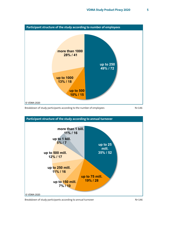

Breakdown of study participants according to the number of employees N=146



Breakdown of study participants according to annual turnover NET ASSES Ann American Muslem Number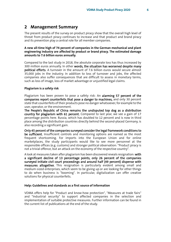## <span id="page-5-0"></span>**2 Management Summary**

The present results of the survey on product piracy show that the overall high level of threat from product piracy continues to increase and that product and brand piracy and its prevention play a central role for all member companies.

### **A new all-time high of 74 percent of companies in the German mechanical and plant engineering industry are affected by product or brand piracy. The estimated damage amounts to 7.6 billion euros annually.**

Compared to the last study in 2018, the absolute corporate loss has thus increased by 300 million euros annually. In other words, the situation has worsened despite many political efforts. A turnover in the amount of 7.6 billion euros would secure almost 35,000 jobs in the industry. In addition to loss of turnover and jobs, the affected companies also suffer consequences that are difficult to assess in monetary terms, such as loss of image, loss of market advantage or unjustified legal claims.

#### **Plagiarism is a safety risk**

Plagiarism has been proven to pose a safety risk: An alarming 57 percent of the companies report counterfeits that pose a danger to machines, and only 30 percent state that counterfeits of their products pose no danger whatsoever, for example to the user, operator, or the environment.

The People's Republic of China remains the undisputed top dog as a distribution country for plagiarism with 61 percent. Compared to last year, we see a gain of 17 percentage points here. Russia, which has doubled to 12 percent and is now in third place among the distribution countries directly behind the second-placed Germany, is also recording a significant gain.

Only 45 percent of the companies surveyed consider the legal framework conditions to be sufficient. Insufficient controls and monitoring options are named as the most frequent shortcoming. For imports into the European Union and for online marketplaces, the study participants would like to see more personnel at the responsible offices (e.g. customs) and stronger political observation: "Product piracy is not a trivial offence, but an attack on the economy of the respective country".

A look at measures taken after plagiarism has been discovered reveals resignation: with a significant decline of 13 percentage points, only 26 percent of the companies surveyed initiate civil court proceedings and around half (49 percent) dispense with measures altogether. This resignation is particularly evident among small and medium-sized enterprises, which seem to be giving up or are looking for other things to do when business is "booming". In particular, digitalization can offer creative solutions for physical counterfeits.

### **Help: Guidelines and standards as a first source of information**

VDMA offers help for "Product and know-how protection", "Measures at trade fairs" and "Industrial security" to support affected companies in the selection and implementation of suitable protective measures. Further information can be found in the current list of publications at the end of the study.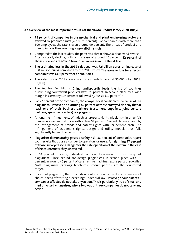**An overview of the most important results of the VDMA Product Piracy 2020 study:**

- 74 percent of companies in the mechanical and plant engineering sector are affected by product piracy (2018: 71 percent). For companies with more than 500 employees, the rate is even around 90 percent. The threat of product and brand piracy is thus reaching a new all-time high.
- Compared to the last studies, the perceived threat shows a clear trend reversal: After a steady decline, with an increase of around 40 percent, 52 percent of those surveyed are now in favor of an increase in the threat level.
- The estimated loss in the 2019 sales year was 7.6 billion euros, an increase of 300 million euros compared to the 2018 study. The average loss for affected companies was 4.9 percent of annual sales.
- The sales loss of 7.6 billion euros corresponds to around 35,000 jobs (2018: 33,000).
- The People's Republic of China undisputedly leads the list of countries distributing counterfeit products with 61 percent. In second place by a wide margin is Germany ([1](#page-6-0)9 percent), followed by Russia (12 percent)<sup>1</sup>.
- For 72 percent of the companies, the **competitor** is considered the cause of the plagiarism. However, an alarming 42 percent of those surveyed also say that at least one of their business partners (customers, suppliers, joint venture partners, spare parts sellers) is a plagiarist.
- Among the infringements of industrial property rights, plagiarism in an unfair manner is again in first place with a clear 58 percent. Second place is shared by the infringement of brands and patent rights with 39 percent each. The infringement of trademark rights, design and utility models thus falls significantly behind the last study.
- Plagiarism demonstrably poses a safety risk: 36 percent of companies report counterfeits that pose a danger to operators or users. An alarming 57 percent of those surveyed see a danger for the safe operation of the system in the case of the counterfeits they discovered.
- In 64 percent of cases, individual components remain the most frequent plagiarism. Close behind are design plagiarisms in second place with 60 percent. In around 40 percent of cases, entire machines, spare parts or so-called "soft" plagiarism (catalogs, brochures, product photos) are the counterfeit target.
- In case of plagiarism, the extrajudicial enforcement of rights is the means of choice, ahead of starting proceedings under civil law. However, about half of all companies affected do not take any action. This is particularly true of small and medium-sized enterprises, where two out of three companies do not take any action.

<span id="page-6-0"></span><sup>&</sup>lt;sup>1</sup> Note: In 2020, the country of manufacture was not surveyed (since the first survey in 2003, the People's Republic of China was in first place).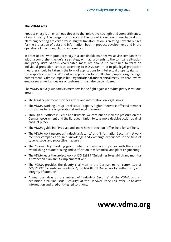#### **The VDMA acts**

Product piracy is an enormous threat to the innovative strength and competitiveness of our industry. The dangers of piracy and the loss of know-how in mechanical and plant engineering are very diverse. Digital transformation is creating new challenges for the protection of data and information, both in product development and in the operation of machines, plants, and services.

In order to deal with product piracy in a sustainable manner, we advise companies to adopt a comprehensive defense strategy with adjustments to the company situation and piracy risks. Various coordinated measures should be combined to form an individual protection concept according to ISO 22384. In principle, legal protection measures should be taken in the form of applications for intellectual property rights in the respective markets. Without an application for intellectual property rights, legal enforcement is almost impossible. Organizational and technical measures that involve employees as well as dealers or customers must also be considered.

The VDMA actively supports its members in the fight against product piracy in various areas:

- The legal department provides advice and information on legal issues.
- The VDMA Working Group "Intellectual Property Rights " networks affected member companies to take organizational and legal measures.
- Through our offices in Berlin and Brussels, we continue to increase pressure on the German government and the European Union to take more decisive action against product piracy.
- The VDMA guideline "Product and know-how protection" offers help for self-help.
- The VDMA working groups "Industrial Security" and "Information Security" network member companies to gain knowledge and exchange experience in the field of cyber-attacks and protective measures.
- The "Traceability" working group networks member companies with the aim of establishing product tracing and verification in mechanical and plant engineering.
- The VDMA leads the project work of ISO 22384 "Guidelines to establish and monitor a protection plan and its implementation".
- The VDMA provides the deputy chairman in the German mirror committee of ISO/TC 292 "Security and resilience", the NIA-02-01 "Measures for authenticity and integrity of products".
- Annual user days on the subject of "Industrial Security" at the VDMA and an exhibition area "Industrial Security" at the Hanover Trade Fair offer up-to-date information and tried-and-tested solutions.

## **www.vdma.org**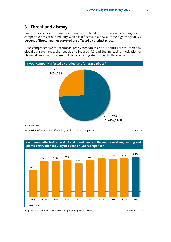## <span id="page-8-0"></span>**3 Threat and dismay**

Product piracy is and remains an enormous threat to the innovative strength and competitiveness of our industry, which is reflected in a new all-time high this year: 74 percent of the companies surveyed are affected by product piracy.

Here, comprehensive countermeasures by companies and authorities are countered by global data exchange, changes due to Industry 4.0 and the increasing motivation of plagiarists in a market segment that is declining sharply due to the corona virus.



Proportion of companies affected by product and brand piracy NETA NETA N=146





Proportion of affected companies compared to previous years Network N=146 (2020)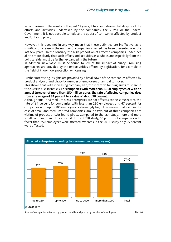In comparison to the results of the past 17 years, it has been shown that despite all the efforts and activities undertaken by the companies, the VDMA or the Federal Government, it is not possible to reduce the quota of companies affected by product and/or brand piracy.

However, this does not in any way mean that these activities are ineffective, as a significant increase in the number of companies affected has been prevented over the last few years. On the contrary, the high proportion of affected companies underlines all the more clearly that such efforts and activities as a whole, and especially from the political side, must be further expanded in the future.

In addition, new ways must be found to reduce the impact of piracy. Promising approaches are provided by the opportunities offered by digitization, for example in the field of know-how protection or licensing.

Further interesting insights are provided by a breakdown of the companies affected by product and/or brand piracy by number of employees or annual turnover.

This shows that with increasing company size, the incentive for plagiarists to share in this success also increases: For companies with more than 1,000 employees, or with an annual turnover of more than 150 million euros, the rate of affected companies rises from an average of 74 percent to a value of about 90 percent.

Although small and medium-sized enterprises are not affected to the same extent, the rate of 64 percent for companies with less than 250 employees and 67 percent for companies with up to 500 employees is alarmingly high. This means that even in the case of small and medium-sized companies, around two out of three companies are victims of product and/or brand piracy. Compared to the last study, more and more small companies are thus affected: In the 2018 study, 60 percent of companies with fewer than 250 employees were affected, whereas in the 2016 study only 55 percent were affected.



Share of companies affected by product and brand piracy by number of employees  $N=146$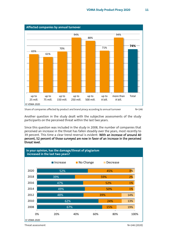

Share of companies affected by product and brand piracy according to annual turnover N=146

Another question in the study dealt with the subjective assessments of the study participants on the perceived threat within the last two years.

Since this question was included in the study in 2008, the number of companies that perceived an increase in the threat has fallen steadily over the years, most recently to 39 percent. This time a clear trend reversal is evident: With an increase of around 40 percent, 52 percent of those surveyed are now in favor of an increase in the perceived threat level.



Threat assessment N=146 (2020)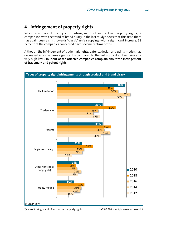## <span id="page-11-0"></span>**4 infringement of property rights**

When asked about the type of infringement of intellectual property rights, a comparison with the trend of brand piracy in the last study shows that this time there has again been a shift towards "classic" unfair copying: with a significant increase, 58 percent of the companies concerned have become victims of this.

Although the infringement of trademark rights, patents, design and utility models has decreased in some cases significantly compared to the last study, it still remains at a very high level: four out of ten affected companies complain about the infringement of trademark and patent rights.



Types of infringement of intellectual property rights N=89 (2020, multiple answers possible)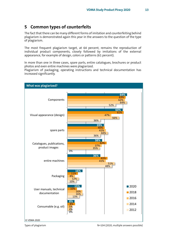## <span id="page-12-0"></span>**5 Common types of counterfeits**

The fact that there can be many different forms of imitation and counterfeiting behind plagiarism is demonstrated again this year in the answers to the question of the type of plagiarism.

The most frequent plagiarism target, at 64 percent, remains the reproduction of individual product components, closely followed by imitations of the external appearance, for example of design, colors or patterns (61 percent).

In more than one in three cases, spare parts, entire catalogues, brochures or product photos and even entire machines were plagiarized.

Plagiarism of packaging, operating instructions and technical documentation has increased significantly.



Types of plagiarism  $N=104$  (2020, multiple answers possible)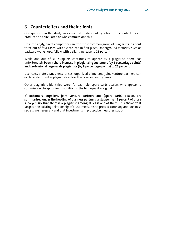## <span id="page-13-0"></span>**6 Counterfeiters and their clients**

One question in the study was aimed at finding out by whom the counterfeits are produced and circulated or who commissions this.

Unsurprisingly, direct competitors are the most common group of plagiarists in about three out of four cases, with a clear lead in first place. Underground factories, such as backyard workshops, follow with a slight increase to 28 percent.

While one out of six suppliers continues to appear as a plagiarist, there has unfortunately been a sharp increase in plagiarizing customers (by 5 percentage points) and professional large-scale plagiarists (by 8 percentage points) to 21 percent.

Licensees, state-owned enterprises, organized crime, and joint venture partners can each be identified as plagiarists in less than one in twenty cases.

Other plagiarists identified were, for example, spare parts dealers who appear to commission cheap copies in addition to the high-quality original.

If customers, suppliers, joint venture partners and (spare parts) dealers are summarized under the heading of business partners, a staggering 42 percent of those surveyed say that there is a plagiarist among at least one of them. This shows that despite the existing relationship of trust, measures to protect company and business secrets are necessary and that investments in protective measures pay off.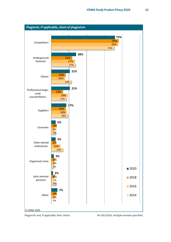

Plagiarists and, if applicable, their clients Net M=100 (2020, multiple answers possible)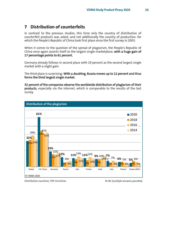## <span id="page-15-0"></span>**7 Distribution of counterfeits**

In contrast to the previous studies, this time only the country of distribution of counterfeit products was asked, and not additionally the country of production, for which the People's Republic of China took first place since the first survey in 2003.

When it comes to the question of the spread of plagiarism, the People's Republic of China once again asserts itself as the largest single marketplace, with a huge gain of 17 percentage points to 61 percent.

Germany already follows in second place with 19 percent as the second largest single market with a slight gain.

The third place is surprising: With a doubling, Russia moves up to 12 percent and thus forms the third largest single market.

32 percent of the companies observe the worldwide distribution of plagiarism of their products, especially via the Internet, which is comparable to the results of the last survey.



Distribution countries, TOP 10 entries New York N=85 (multiple answers possible)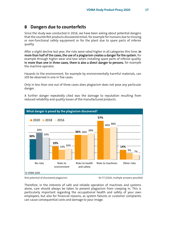## <span id="page-16-0"></span>**8 Dangers due to counterfeits**

Since the study was conducted in 2016, we have been asking about potential dangers that the counterfeit products discovered entail, for example for humans due to missing or non-functional safety equipment or for the plant due to spare parts of inferior quality.

After a slight decline last year, the risks were rated higher in all categories this time. In more than half of the cases, the use of a plagiarism creates a danger for the system, for example through higher wear and tear when installing spare parts of inferior quality. In more than one in three cases, there is also a direct danger to persons, for example the machine operator.

Hazards to the environment, for example by environmentally harmful materials, can still be observed in one in five cases.

Only in less than one out of three cases does plagiarism does not pose any particular danger.

A further danger repeatedly cited was the damage to reputation resulting from reduced reliability and quality losses of the manufactured products.



Risk potential of discovered plagiarism N=77 (2020, multiple answers possible)

Therefore, in the interests of safe and reliable operation of machines and systems alone, care should always be taken to prevent plagiarism from creeping in. This is particularly important regarding the occupational health and safety of your own employees, but also for financial reasons, as system failures or customer complaints can cause consequential costs and damage to your image.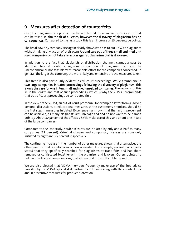## <span id="page-17-0"></span>**9 Measures after detection of counterfeits**

Once the plagiarism of a product has been detected, there are various measures that can be taken. In about half of all cases, however, the discovery of plagiarism has no consequences. Compared to the last study, this is an increase of 13 percentage points.

The breakdown by company size again clearly shows who has to put up with plagiarism without taking any action of their own: Around two out of three small and mediumsized companies do not take any action against plagiarism that is discovered.

In addition to the fact that plagiarists or distribution channels cannot always be identified beyond doubt, a rigorous prosecution of plagiarism can also be uneconomical or not feasible with reasonable effort for the companies concerned. In general, the larger the company, the more likely and extensive are the measures taken.

This trend is also particularly evident in civil court proceedings. While around one in two large companies initiated proceedings following the discovery of plagiarism, this is only the case for one in ten small and medium-sized companies. The reasons for this lie in the length and cost of such proceedings, which is why the VDMA recommends that out-of-court proceedings be considered first.

In the view of the VDMA, an out-of-court procedure, for example a letter from a lawyer, personal discussions or educational measures at the customer's premises, should be the first step in measures initiated. Experience has shown that the first improvement can be achieved, as many plagiarists act unrecognized and do not want to be named publicly. About 30 percent of the affected SMEs make use of this, and about one in two of the large companies.

Compared to the last study, border seizures are initiated by only about half as many companies (12 percent). Criminal charges and compulsory licenses are now only initiated by eight and six percent respectively.

The continuing increase in the number of other measures shows that alternatives are often used or that spontaneous action is needed. For example, several participants stated that they specifically searched for plagiarisms at trade fairs and had them removed or confiscated together with the organizer and lawyers. Others pointed to hidden hurdles or changes in design, which make it more difficult to reproduce.

We are also pleased that VDMA members frequently make use of the free advice provided by the VDMA specialist departments both in dealing with the counterfeiter and in preventive measures for product protection.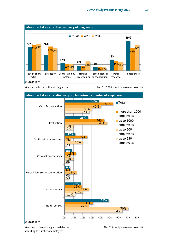

Measures after detection of plagiarism Netall Measures are N=101 (2020, multiple answers possible)



© VDMA 2020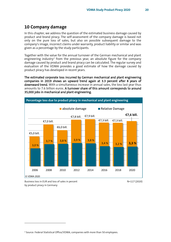## <span id="page-19-0"></span>**10 Company damage**

In this chapter, we address the question of the estimated business damage caused by product and brand piracy. The self-assessment of the company damage is based not only on the pure loss of sales, but also on possible subsequent damage to the company's image, incorrect claims under warranty, product liability or similar and was given as a percentage by the study participants.

Together with the value for the annual turnover of the German mechanical and plant engineering industry<sup>[2](#page-19-1)</sup> from the previous year, an absolute figure for the company damage caused by product and brand piracy can be calculated. The regular survey and evaluation of the VDMA provides a good estimate of how the damage caused by product piracy has developed in recent years.

The estimated corporate loss incurred by German mechanical and plant engineering companies in 2019 shows an upward trend again at 3.3 percent after 8 years of downward trend. With a simultaneous increase in annual sales, the loss last year thus amounts to 7.6 billion euros. A turnover share of this amount corresponds to around 35,000 jobs in mechanical and plant engineering.



Business loss in EUR and loss of sales in percent N=117 (2020) by product piracy in Germany

<span id="page-19-1"></span><sup>2</sup> Source: Federal Statistical Office/VDMA, companies with more than 50 employees.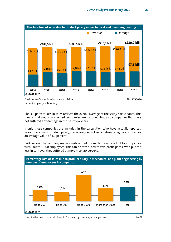

by product piracy in Germany

The 3.2 percent loss in sales reflects the overall average of the study participants. This means that not only affected companies are included, but also companies that have not suffered any damage in the past two years.

If only those companies are included in the calculation who have actually reported sales losses due to product piracy, the average sales loss is naturally higher and reaches an average value of 4.9 percent.

Broken down by company size, a significant additional burden is evident for companies with 500 to 1,000 employees. This can be attributed to two participants, who put the loss in turnover they suffered at more than 20 percent.



Loss of sales due to product piracy in Germany by company size in percent  $N=78$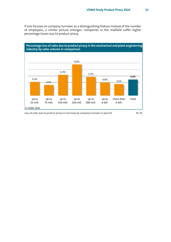If one focuses on company turnover as a distinguishing feature instead of the number of employees, a similar picture emerges: companies in the midfield suffer higher percentage losses due to product piracy.



Loss of sales due to product piracy in Germany by company turnover in percent N=78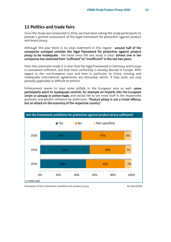## <span id="page-22-0"></span>**11 Politics and trade fairs**

Since the study was conducted in 2016, we have been asking the study participants to provide a general assessment of the legal framework for protection against product and brand piracy.

Although this year there is no clear statement in this regard - around half of the companies surveyed consider the legal framework for protection against product piracy to be inadequate - the trend since the last study is clear: almost one in ten companies has switched from "sufficient" to "insufficient" in the last two years.

From the comments made it is clear that the legal framework in Germany and Europe is considered sufficient, but that more uniformity is already desired in Europe. With regard to the non-European area and here in particular to China, missing and inadequate international agreements are discussed, which, if they exist, are only partially applicable or difficult to enforce.

Enforcement seems to have some pitfalls in the European area as well: some participants point to inadequate controls, for example on imports into the European Union or already in online trade, and would like to see more staff in the responsible positions and greater influence by politicians: "Product piracy is not a trivial offence, but an attack on the economy of the respective country".



Evaluation of the framework conditions for product piracy Network N=146 (2020)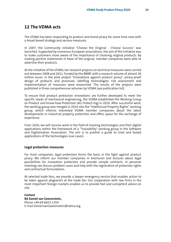<span id="page-23-0"></span>The VDMA has been responding to product and brand piracy for some time now with a broad-based strategy and various measures.

In 2007, the Community initiative "Choose the Original - Choose Success" was launched. Supported by numerous European associations, the aim of the initiative was to make customers more aware of the importance of choosing original products. By making positive statements in favor of the original, member companies were able to advertise their products.

At the initiative of the VDMA, ten research projects on technical measures were carried out between 2008 and 2011, funded by the BMBF with a research volume of almost 30 million euros. In the joint project "Innovations against product piracy", piracy-proof design of products and processes, labelling technologies, risk assessment and implementation of measures were researched. The results of the projects were published in three comprehensive volumes by VDMA (see publication list).

To ensure that product protection innovations are further developed to meet the specific needs of mechanical engineering, the VDMA established the Working Group on Product and Know-how Protection (AG Protect-ing) in 2010. After successful work, the working group was merged in 2016 into the "Intellectual Property Rights" working group, which informs interested VDMA member companies about the latest developments in industrial property protection and offers space for the exchange of experience.

From 2020, we will resume work in the field of marking technologies and their digital applications within the framework of a "Traceability" working group in the Software and Digitalization Association. The aim is to publish a guide to tried and tested applications of the technologies (use cases).

## **Legal protection measures**

For most companies, legal protection forms the basis in the fight against product piracy. We inform our member companies in brochures and lectures about legal possibilities for innovation protection and provide sample contracts. In personal meetings we discuss problem cases and help with the registration of protective rights and contractual formulations.

At selected trade fairs, we provide a lawyer emergency service that enables action to be taken against plagiarists at the trade fair. Our cooperation with law firms in the most important foreign markets enables us to provide fast and competent advice on site.

**Contact RA Daniel van Geerenstein,** Phone +49 69 6603-1359 E-mail Daniel.vanGeerenstein@vdma.org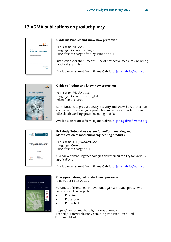## <span id="page-24-0"></span>**13 VDMA publications on product piracy**



## **Guideline Product and know-how protection**

Publication: VDMA 2013 Language: German or English Price: free of charge after registration as PDF

Instructions for the successful use of protective measures including practical examples.

Available on request from Biljana Gabric[: biljana.gabric@vdma.org](mailto:biljana.gabric@vdma.org)



#### **Guide to Product and know-how protection**

Publication: VDMA 2016 Language: German and English Price: free of charge

contributions to product piracy, security and know-how protection. Overview of technologies, protection measures and solutions in the (dissolved) working group including matrix.

Available on request from Biljana Gabric[: biljana.gabric@vdma.org](mailto:biljana.gabric@vdma.org)

| Integratives System zur einheitlichen<br>Kennzeichnung und Identifizierung<br>von Maschinenbauprodukten |                                                                                                                                                                   |  |  |
|---------------------------------------------------------------------------------------------------------|-------------------------------------------------------------------------------------------------------------------------------------------------------------------|--|--|
|                                                                                                         | Shade<br>6. December 2010                                                                                                                                         |  |  |
| <b><i><u>SAFERFREE</u></i></b><br><b>Call Corporation</b><br>$-\sqrt{2}$                                | Dat. Ing. Markus Petermann<br>Genetiated Aven<br><b>Business Gental</b><br>Wilhelm Hertz, Straße &<br><b>BOBOS München</b><br>Email: markus petermann@avalano.com |  |  |

#### **INS study "Integrative system for uniform marking and identification of mechanical engineering products**

Publication: DIN/NAM/VDMA 2011 Language: German Price: free of charge as PDF

Overview of marking technologies and their suitability for various applications.

Available on request from Biljana Gabric[: biljana.gabric@vdma.org](mailto:biljana.gabric@vdma.org)



#### **Piracy-proof design of products and processes** ISBN 978-3-8163-0601-6

Volume 1 of the series "Innovations against product piracy" with results from the projects:

- PiratPro
- Protactive
- ProProtect

https://www.vdmashop.de/Informatik-und-Technik/Piraterierobuste-Gestaltung-von-Produkten-und-Prozessen.html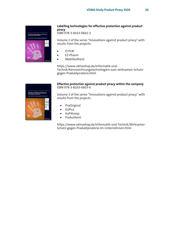

## **Labelling technologies for effective protection against product piracy**

ISBN 978-3-8163-0602-3

Volume 2 of the series "Innovations against product piracy" with results from the projects:

- O-PUR
- EZ-Pharm
- MobilAuthent

https://www.vdmashop.de/Informatik-und-Technik/Kennzeichnungstechnologien-zum-wirksamen-Schutzgegen-Produktpiraterie.html

#### **Effective protection against product piracy within the company** ISBN 978-3-8163-0603-0

Volume 3 of the series "Innovations against product piracy" with results from the projects:

- ProOriginal
- KoPira
- KoPiKomp
- ProAuthent

https://www.vdmashop.de/Informatik-und-Technik/Wirksamer-Schutz-gegen-Produktpiraterie-im-Unternehmen.html

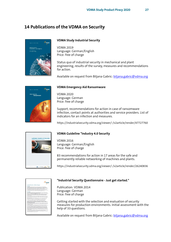## <span id="page-26-0"></span>**14 Publications of the VDMA on Security**



### **VDMA Study Industrial Security**

VDMA 2019 Language: German/English Price: free of charge

Status quo of industrial security in mechanical and plant engineering, results of the survey, measures and recommendations for action.

Available on request from Biljana Gabric: [biljana.gabric@vdma.org](mailto:biljana.gabric@vdma.org)



### **VDMA Emergency Aid Ransomware**

VDMA 2020 Language: German Price: free of charge

Support, recommendations for action in case of ransomware infection, contact points at authorities and service providers. List of indicators for an infection and measures.

https://industrialsecurity.vdma.org/viewer/-/v2article/render/47727760



## **VDMA Guideline "Industry 4.0 Security**

VDMA 2016 Language: German/English Price: free of charge

83 recommendations for action in 17 areas for the safe and permanently reliable networking of machines and plants.

https://industrialsecurity.vdma.org/viewer/-/v2article/render/26240836



## **"Industrial Security Questionnaire - Just get started."**

Publication: VDMA 2014 Language: German Price: free of charge

Getting started with the selection and evaluation of security measures for production environments. Initial assessment with the help of 33 questions.

Available on request from Biljana Gabric: [biljana.gabric@vdma.org](mailto:biljana.gabric@vdma.org)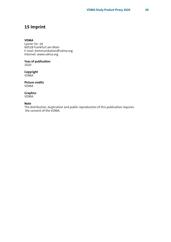## <span id="page-27-0"></span>**15 Imprint**

#### **VDMA**

Lyoner Str. 18 60528 Frankfurt am Main E-mail: kommunikation@vdma.org Internet: www.vdma.org

**Year of publication** 2020

**Copyright** VDMA

**Picture credits** VDMA

**Graphics** VDMA

#### **Note**

The distribution, duplication and public reproduction of this publication requires the consent of the VDMA.